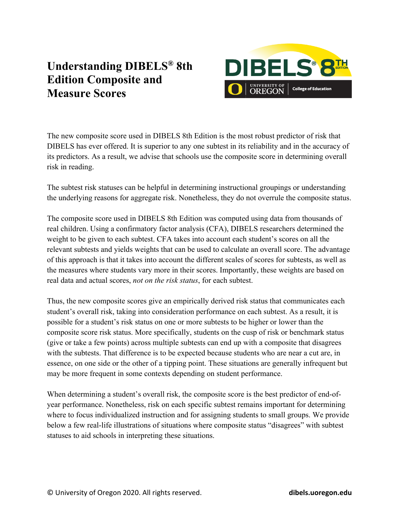## **Understanding DIBELS® 8th Edition Composite and Measure Scores**



The new composite score used in DIBELS 8th Edition is the most robust predictor of risk that DIBELS has ever offered. It is superior to any one subtest in its reliability and in the accuracy of its predictors. As a result, we advise that schools use the composite score in determining overall risk in reading.

The subtest risk statuses can be helpful in determining instructional groupings or understanding the underlying reasons for aggregate risk. Nonetheless, they do not overrule the composite status.

The composite score used in DIBELS 8th Edition was computed using data from thousands of real children. Using a confirmatory factor analysis (CFA), DIBELS researchers determined the weight to be given to each subtest. CFA takes into account each student's scores on all the relevant subtests and yields weights that can be used to calculate an overall score. The advantage of this approach is that it takes into account the different scales of scores for subtests, as well as the measures where students vary more in their scores. Importantly, these weights are based on real data and actual scores, *not on the risk status*, for each subtest.

Thus, the new composite scores give an empirically derived risk status that communicates each student's overall risk, taking into consideration performance on each subtest. As a result, it is possible for a student's risk status on one or more subtests to be higher or lower than the composite score risk status. More specifically, students on the cusp of risk or benchmark status (give or take a few points) across multiple subtests can end up with a composite that disagrees with the subtests. That difference is to be expected because students who are near a cut are, in essence, on one side or the other of a tipping point. These situations are generally infrequent but may be more frequent in some contexts depending on student performance.

When determining a student's overall risk, the composite score is the best predictor of end-ofyear performance. Nonetheless, risk on each specific subtest remains important for determining where to focus individualized instruction and for assigning students to small groups. We provide below a few real-life illustrations of situations where composite status "disagrees" with subtest statuses to aid schools in interpreting these situations.